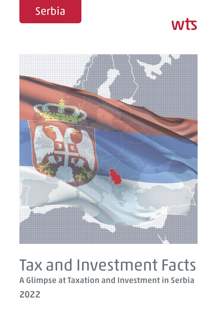





# Tax and Investment Facts **A Glimpse at Taxation and Investment in Serbia 2022**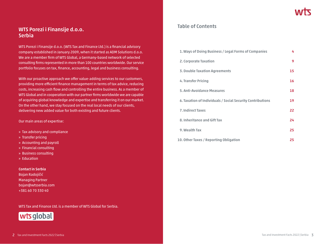# **WTS Porezi i Finansije d.o.o. Serbia**

WTS Porezi i Finansije d.o.o. (WTS Tax and Finance Ltd.) is a financial advisory company established in January 2009, when it started as ADM Solutions d.o.o. We are a member firm of WTS Global, a Germany-based network of selected consulting firms represented in more than 100 countries worldwide. Our service portfolio focuses on tax, finance, accounting, legal and business consulting.

With our proactive approach we offer value-adding services to our customers, providing more efficient finance management in terms of tax advice, reducing costs, increasing cash flow and controlling the entire business. As a member of WTS Global and in cooperation with our partner firms worldwide we are capable of acquiring global knowledge and expertise and transferring it on our market. On the other hand, we stay focused on the real local needs of our clients, delivering new added value for both existing and future clients.

Our main areas of expertise:

- » Tax advisory and compliance
- » Transfer pricing
- » Accounting and payroll
- » Financial consulting
- » Business consulting
- » Education

#### **Contact in Serbia**

Bojan Radojičić Managing Partner bojan@wtsserbia.com +381 60 70 330 40

WTS Tax and Finance Ltd. is a member of WTS Global for Serbia.



# **Table of Contents**

| 1. Ways of Doing Business / Legal Forms of Companies       | 4  |
|------------------------------------------------------------|----|
| 2. Corporate Taxation                                      | 9  |
| <b>3. Double Taxation Agreements</b>                       | 15 |
| 4. Transfer Pricing                                        | 16 |
| 5. Anti-Avoidance Measures                                 | 18 |
| 6. Taxation of Individuals / Social Security Contributions | 19 |
| <b>7. Indirect Taxes</b>                                   | 22 |
| 8. Inheritance and Gift Tax                                | 24 |
| 9. Wealth Tax                                              | 25 |
| 10. Other Taxes / Reporting Obligation                     | 25 |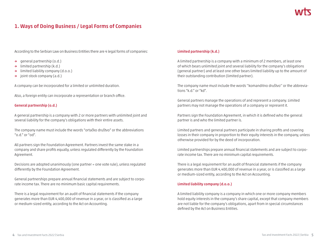# **1. Ways of Doing Business / Legal Forms of Companies**

According to the Serbian Law on Business Entities there are 4 legal forms of companies:

- **→** general partnership (o.d.)
- **→** limited partnership (k.d.)
- **→** limited liability company (d.o.o.)
- **→** joint-stock company (a.d.)

A company can be incorporated for a limited or unlimited duration.

Also, a foreign entity can incorporate a representation or branch office.

#### **General partnership (o.d.)**

A general partnership is a company with 2 or more partners with unlimited joint and several liability for the company's obligations with their entire assets.

The company name must include the words "ortačko društvo" or the abbreviations "o.d." or "od".

All partners sign the Foundation Agreement. Partners invest the same stake in a company and share profits equally, unless regulated differently by the Foundation Agreement.

Decisions are adopted unanimously (one partner = one vote rule), unless regulated differently by the Foundation Agreement.

General partnerships prepare annual financial statements and are subject to corporate income tax. There are no minimum basic capital requirements.

There is a legal requirement for an audit of financial statements if the company generates more than EUR 4,400,000 of revenue in a year, or is classified as a large or medium-sized entity, according to the Act on Accounting.

#### **Limited partnership (k.d.)**

A limited partnership is a company with a minimum of 2 members, at least one of which bears unlimited joint and several liability for the company's obligations (general partner) and at least one other bears limited liability up to the amount of their outstanding contribution (limited partner).

The company name must include the words ''komanditno društvo'' or the abbreviations "k.d." or "kd".

General partners manage the operations of and represent a company. Limited partners may not manage the operations of a company or represent it.

Partners sign the Foundation Agreement, in which it is defined who the general partner is and who the limited partner is.

Limited partners and general partners participate in sharing profits and covering losses in their company in proportion to their equity interests in the company, unless otherwise provided for by the deed of incorporation.

Limited partnerships prepare annual financial statements and are subject to corporate income tax. There are no minimum capital requirements.

There is a legal requirement for an audit of financial statements if the company generates more than EUR 4,400,000 of revenue in a year, or is classified as a large or medium-sized entity, according to the Act on Accounting.

#### **Limited liability company (d.o.o.)**

A limited liability company is a company in which one or more company members hold equity interests in the company's share capital, except that company members are not liable for the company's obligations, apart from in special circumstances defined by the Act on Business Entities.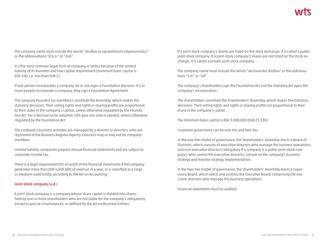The company name must include the words "društvo sa ograničenom odgovornošću" or the abbreviations "d.o.o." or "doo".

It is the most common legal form of company in Serbia because of the limited liability of its founders and low capital requirement (minimum basic capital is RSD 100, i.e. less than EUR 1).

If one person incorporates a company, he or she signs a Foundation Decision. If 2 or more people incorporate a company, they sign a Foundation Agreement.

The company founders (or members) constitute the Assembly, which makes the statutory decisions. Their voting rights and rights in sharing profits are proportional to their stake in the company's capital, unless otherwise regulated by the Foundation Act. For a decision to be adopted, 50% plus one vote is needed, unless otherwise regulated by the Foundation Act.

The company's business activities are managed by a director or directors, who are registered at the Business Register Agency. Directors may or may not be company members.

Limited liability companies prepare annual financial statements and are subject to corporate income tax.

There is a legal requirement for an audit of the financial statements if the company generates more than EUR 4,400,000 of revenue in a year, or is classified as a large or medium-sized entity, according to the Act on Accounting.

#### **Joint-stock company (a.d.)**

A joint-stock company is a company whose share capital is divided into shares held by one or more shareholders who are not liable for the company's obligations, except in special circumstances, as defined by the Act on Business Entities.

If a joint-stock company's shares are listed on the stock exchange, it is called a public joint-stock company. If a joint-stock company's shares are not listed on the stock exchange, it is called a private joint-stock company.

The company name must include the words "akcionarsko društvo" or the abbreviations "a.d." or "ad".

The company's shareholders sign the Foundation Act and the Statutory Act upon the company's incorporation.

The shareholders constitute the Shareholders' Assembly, which makes the statutory decisions. Their voting rights and rights in sharing profits are proportional to their share in the company's capital.

The minimum basic capital is RSD 3,000,000 (EUR 25,530).

Corporate governance can be one-tier and two-tier.

In the one-tier model of governance, the Shareholders' Assembly elects a Board of Directors, which consists of executive directors who manage the business operations, and non-executive directors (obligatory if a company is a public joint-stock company), who control the executive directors, consult on the company's business strategy and monitor strategy implementation.

In the two-tier model of governance, the Shareholders' Assembly elects a Supervisory Board, which elects and controls the Executive Board, comprising the executive directors who manage the business operations.

Financial statements must be audited.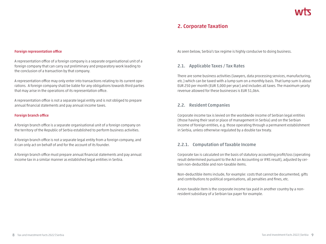# **2. Corporate Taxation**

#### **Foreign representation office**

A representation office of a foreign company is a separate organisational unit of a foreign company that can carry out preliminary and preparatory work leading to the conclusion of a transaction by that company.

A representation office may only enter into transactions relating to its current operations. A foreign company shall be liable for any obligations towards third parties that may arise in the operations of its representation office.

A representation office is not a separate legal entity and is not obliged to prepare annual financial statements and pay annual income taxes.

#### **Foreign branch office**

A foreign branch office is a separate organisational unit of a foreign company on the territory of the Republic of Serbia established to perform business activities.

A foreign branch office is not a separate legal entity from a foreign company, and it can only act on behalf of and for the account of its founder.

A foreign branch office must prepare annual financial statements and pay annual income tax in a similar manner as established legal entities in Serbia.

As seen below, Serbia's tax regime is highly conducive to doing business.

#### **2.1. Applicable Taxes / Tax Rates**

There are some business activities (lawyers, data processing services, manufacturing, etc.) which can be taxed with a lump sum on a monthly basis. That lump sum is about EUR 250 per month (EUR 3,000 per year) and includes all taxes. The maximum yearly revenue allowed for these businesses is EUR 51,064.

## **2.2. Resident Companies**

Corporate income tax is levied on the worldwide income of Serbian legal entities (those having their seat or place of management in Serbia) and on the Serbian income of foreign entities, e.g. those operating through a permanent establishment in Serbia, unless otherwise regulated by a double tax treaty.

## **2.2.1. Computation of Taxable Income**

Corporate tax is calculated on the basis of statutory accounting profit/loss (operating result determined pursuant to the Act on Accounting or IFRS result), adjusted by certain non-deductible and non-taxable items.

Non-deductible items include, for example: costs that cannot be documented, gifts and contributions to political organisations, all penalties and fines, etc.

A non-taxable item is the corporate income tax paid in another country by a nonresident subsidiary of a Serbian tax payer for example.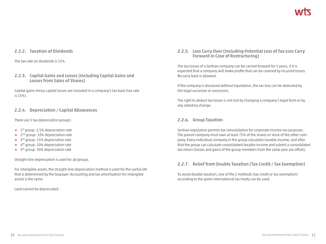# **2.2.2. Taxation of Dividends**

The tax rate on dividends is 15%.

# **2.2.3. Capital Gains and Losses (Including Capital Gains and Losses from Sales of Shares)**

Capital gains minus capital losses are included in a company's tax base (tax rate is 15%).

# **2.2.4. Depreciation / Capital Allowances**

There are 5 tax depreciation groups:

- **→** 1st group: 2.5% depreciation rate
- **→** 2nd group: 10% depreciation rate
- **→** 3rd group: 15% depreciation rate
- **→** 4th group: 20% depreciation rate
- **→** 5th group: 30% depreciation rate

Straight-line depreciation is used for all groups.

For intangible assets, the straight-line depreciation method is used for the useful life that is determined by the taxpayer. Accounting and tax amortisation for intangible assets is the same.

Land cannot be depreciated.

# **2.2.5. Loss Carry Over (Including Potential Loss of Tax Loss Carry Forward in Case of Restructuring)**

The tax losses of a Serbian company can be carried forward for 5 years, if it is expected that a company will make profits that can be covered by incurred losses. No carry back is allowed.

If the company is dissolved without liquidation, the tax loss can be deducted by the legal successor or successors.

The right to deduct tax losses is not lost by changing a company's legal form or by any statutory change.

# **2.2.6. Group Taxation**

Serbian legislation permits tax consolidation for corporate income tax purposes. The parent company must own at least 75% of the shares or stock of the other company. Every individual company in the group calculates taxable income, and after that the group can calculate consolidated taxable income and submit a consolidated tax return (losses and gains of the group members from the same year are offset).

# **2.2.7. Relief from Double Taxation (Tax Credit / Tax Exemption)**

To avoid double taxation, one of the 2 methods (tax credit or tax exemption) according to the given international tax treaty can be used.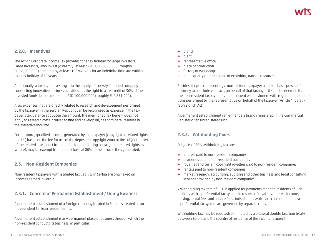# **2.2.8. Incentives**

The Act on Corporate Income Tax provides for a tax holiday for large investors. Large investors, who invest (currently) at least RSD 1,000,000,000 (roughly EUR 8,500,000) and employ at least 100 workers for an indefinite time are entitled to a tax holiday of 10 years.

Additionally, a taxpayer investing into the equity of a newly-founded company conducting innovative business activities has the right to a tax credit of 30% of the invested funds, but no more than RSD 100,000,000 (roughly EUR 851,000).

Also, expenses that are directly related to research and development performed by the taxpayer in the Serbian Republic can be recognised as expense in the taxpayer's tax balance at double the amount. The mentioned tax benefit does not apply to research costs incurred to find and develop oil, gas or mineral reserves in the extractive industry.

Furthermore, qualified income, generated by the taxpayer (copyright or related rights holder) based on the fee for use of the deposited copyright work or the subject matter of the related law (apart from the fee for transferring copyright or related rights as a whole), may be exempt from the tax base at 80% of the income thus generated.

# **2.3. Non-Resident Companies**

Non-resident taxpayers with a limited tax liability in Serbia are only taxed on incomes earned in Serbia.

# **2.3.1. Concept of Permanent Establishment / Doing Business**

A permanent establishment of a foreign company located in Serbia is treated as an independent Serbian resident entity.

A permanent establishment is any permanent place of business through which the non-resident conducts its business, in particular:

- **→** branch
- **→** plant
- **→** representative office
- **→** place of production
- **→** factory or workshop
- **→** mine, quarry or other place of exploiting natural resources

Besides, if upon representing a non-resident taxpayer a person has a power of attorney to conclude contracts on behalf of that taxpayer, it shall be deemed that the non-resident taxpayer has a permanent establishment with regard to the operations performed by the representative on behalf of the taxpayer (Article 4, paragraph 2 of CIT Act).

A permanent establishment can either be a branch registered in the Commercial Register or an unregistered unit.

# **2.3.2. Withholding Taxes**

Subjects of 20% withholding tax are:

- **→** interest paid to non-resident companies
- **→** dividends paid to non-resident companies
- **→** royalties and certain copyright royalties paid to non-resident companies
- **→** rentals paid to non-resident companies
- **→** market research, accounting, auditing and other business and legal consulting services provided by non-resident companies

A withholding tax rate of 25% is applied for payments made to residents of jurisdictions with a preferential tax system in respect of royalties, interest income, leasing/rental fees and service fees. Jurisdictions which are considered to have a preferential tax system are governed by separate rules.

Withholding tax may be reduced/eliminated by a bilateral double taxation treaty between Serbia and the country of residence of the income recipient.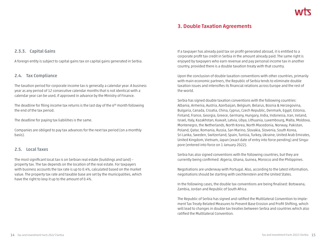# **3. Double Taxation Agreements**

## **2.3.3. Capital Gains**

A foreign entity is subject to capital gains tax on capital gains generated in Serbia.

#### **2.4. Tax Compliance**

The taxation period for corporate income tax is generally a calendar year. A business year as any period of 12 consecutive calendar months that is not identical with a calendar year can be used, if approved in advance by the Ministry of Finance.

The deadline for filing income tax returns is the last day of the  $6<sup>th</sup>$  month following the end of the tax period.

The deadline for paying tax liabilities is the same.

Companies are obliged to pay tax advances for the next tax period (on a monthly basis).

## **2.5. Local Taxes**

The most significant local tax is on Serbian real estate (buildings and land) – property tax. The tax depends on the location of the real estate. For taxpayers with business accounts the tax rate is up to 0.4%, calculated based on the market value. The property tax rate and taxable base are set by the municipalities, which have the right to levy it up to the amount of 0.4%.

If a taxpayer has already paid tax on profit generated abroad, it is entitled to a corporate profit tax credit in Serbia in the amount already paid. The same right is enjoyed by taxpayers who earn revenue and pay personal income tax in another country, provided there is a double taxation treaty with that country.

Upon the conclusion of double taxation conventions with other countries, primarily with main economic partners, the Republic of Serbia tends to eliminate double taxation issues and intensifies its financial relations across Europe and the rest of the world.

Serbia has signed double taxation conventions with the following countries: Albania, Armenia, Austria, Azerbaijan, Belgium, Belarus, Bosnia & Herzegovina, Bulgaria, Canada, Croatia, China, Cyprus, Czech Republic, Denmark, Egypt, Estonia, Finland, France, Georgia, Greece, Germany, Hungary, India, Indonesia, Iran, Ireland, Israel, Italy, Kazakhstan, Kuwait, Latvia, Libya, Lithuania, Luxembourg, Malta, Moldova, Montenegro, the Netherlands, North Korea, North Macedonia, Norway, Pakistan, Poland, Qatar, Romania, Russia, San Marino, Slovakia, Slovenia, South Korea, Sri Lanka, Sweden, Switzerland, Spain, Tunisia, Turkey, Ukraine, United Arab Emirates, United Kingdom, Vietnam, Japan (exact date of entry into force pending) and Singapore (entered into force on 1 January 2022).

Serbia has also signed conventions with the following countries, but they are currently being confirmed: Algeria, Ghana, Guinea, Morocco and the Philippines.

Negotiations are underway with Portugal. Also, according to the latest information, negotiations should be starting with Liechtenstein and the United States.

In the following cases, the double tax conventions are being finalised: Botswana, Zambia, Jordan and Republic of South Africa.

The Republic of Serbia has signed and ratified the Multilateral Convention to Implement Tax Treaty Related Measures to Prevent Base Erosion and Profit Shifting, which will lead to changes in double tax treaties between Serbia and countries which also ratified the Multilateral Convention.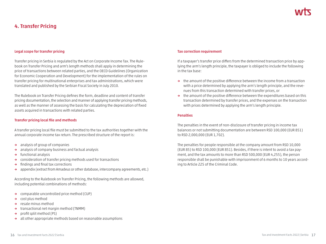# **4. Transfer Pricing**

#### **Legal scope for transfer pricing**

Transfer pricing in Serbia is regulated by the Act on Corporate Income Tax. The Rulebook on Transfer Pricing and arm's length methods shall apply in determining the price of transactions between related parties, and the OECD Guidelines (Organization for Economic Cooperation and Development) for the implementation of the rules on transfer pricing for multinational enterprises and tax administrations, which were translated and published by the Serbian Fiscal Society in July 2010.

The Rulebook on Transfer Pricing defines the form, deadline and content of transfer pricing documentation, the selection and manner of applying transfer pricing methods, as well as the manner of assessing the basis for calculating the depreciation of fixed assets acquired in transactions with related parties.

#### **Transfer pricing local file and methods**

A transfer pricing local file must be submitted to the tax authorities together with the annual corporate income tax return. The prescribed structure of the report is:

- **→** analysis of group of companies
- **→** analysis of company business and factual analysis
- **→** functional analysis
- **→** consideration of transfer pricing methods used for transactions
- **→** findings and final tax corrections
- **→** appendix (extract from Amadeus or other database, intercompany agreements, etc.)

According to the Rulebook on Transfer Pricing, the following methods are allowed, including potential combinations of methods:

- **→** comparable uncontrolled price method (CUP)
- **→** cost plus method
- **→** resale minus method
- **→** transactional net margin method (TNMM)
- **→** profit split method (PS)
- **→** all other appropriate methods based on reasonable assumptions

#### **Tax correction requirement**

If a taxpayer's transfer price differs from the determined transaction price by applying the arm's length principle, the taxpayer is obliged to include the following in the tax base:

- **→** the amount of the positive difference between the income from a transaction with a price determined by applying the arm's length principle, and the revenues from this transaction determined with transfer prices, or
- **→** the amount of the positive difference between the expenditures based on this transaction determined by transfer prices, and the expenses on the transaction with prices determined by applying the arm's length principle.

#### **Penalties**

The penalties in the event of non-disclosure of transfer pricing in income tax balances or not submitting documentation are between RSD 100,000 (EUR 851) to RSD 2,000,000 (EUR 1,702).

The penalties for people responsible at the company amount from RSD 10,000 (EUR 85) to RSD 100,000 (EUR 851). Besides, if there is intent to avoid a tax payment, and the tax amounts to more than RSD 500,000 (EUR 4,255), the person responsible shall be punishable with imprisonment of 6 months to 10 years according to Article 225 of the Criminal Code.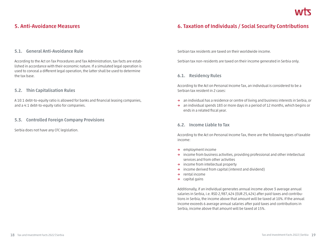# **5. Anti-Avoidance Measures**

# **6. Taxation of Individuals / Social Security Contributions**

## **5.1. General Anti-Avoidance Rule**

According to the Act on Tax Procedures and Tax Administration, tax facts are established in accordance with their economic nature. If a simulated legal operation is used to conceal a different legal operation, the latter shall be used to determine the tax base.

## **5.2. Thin Capitalisation Rules**

A 10:1 debt-to-equity ratio is allowed for banks and financial leasing companies, and a 4:1 debt-to-equity ratio for companies.

## **5.3. Controlled Foreign Company Provisions**

Serbia does not have any CFC legislation.

Serbian tax residents are taxed on their worldwide income.

Serbian tax non-residents are taxed on their income generated in Serbia only.

## **6.1. Residency Rules**

According to the Act on Personal Income Tax, an individual is considered to be a Serbian tax resident in 2 cases:

- **→** an individual has a residence or centre of living and business interests in Serbia, or
- **→** an individual spends 183 or more days in a period of 12 months, which begins or ends in a related fiscal year.

## **6.2. Income Liable to Tax**

According to the Act on Personal Income Tax, there are the following types of taxable income:

- **→** employment income
- **→** income from business activities, providing professional and other intellectual services and from other activities
- **→** income from intellectual property
- **→** income derived from capital (interest and dividend)
- **→** rental income
- **→** capital gains

Additionally, if an individual generates annual income above 3 average annual salaries in Serbia, i.e. RSD 2,987,424 (EUR 25,424) after paid taxes and contributions in Serbia, the income above that amount will be taxed at 10%. If the annual income exceeds 6 average annual salaries after paid taxes and contributions in Serbia, income above that amount will be taxed at 15%.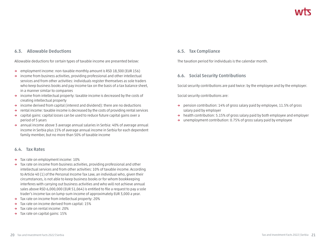# **6.3. Allowable Deductions**

Allowable deductions for certain types of taxable income are presented below:

- **→** employment income: non-taxable monthly amount is RSD 18,300 (EUR 156)
- **→** income from business activities, providing professional and other intellectual services and from other activities: individuals register themselves as sole traders who keep business books and pay income tax on the basis of a tax balance sheet, in a manner similar to companies
- **→** income from intellectual property: taxable income is decreased by the costs of creating intellectual property
- **→** income derived from capital (interest and dividend): there are no deductions
- **→** rental income: taxable income is decreased by the costs of providing rental services
- **→** capital gains: capital losses can be used to reduce future capital gains over a period of 5 years
- **→** annual income above 3 average annual salaries in Serbia: 40% of average annual income in Serbia plus 15% of average annual income in Serbia for each dependent family member, but no more than 50% of taxable income

# **6.4. Tax Rates**

- **→** Tax rate on employment income: 10%
- **→** Tax rate on income from business activities, providing professional and other intellectual services and from other activities: 10% of taxable income. According to Article 40 (1) of the Personal Income Tax Law, an individual who, given their circumstances, is not able to keep business books or for whom bookkeeping interferes with carrying out business activities and who will not achieve annual sales above RSD 6,000,000 (EUR 51,064) is entitled to file a request to pay a sole trader's income tax on lump-sum income of approximately EUR 3,000 a year.
- **→** Tax rate on income from intellectual property: 20%
- **→** Tax rate on income derived from capital: 15%
- **→** Tax rate on rental income: 20%
- **→** Tax rate on capital gains: 15%

# **6.5. Tax Compliance**

The taxation period for individuals is the calendar month.

# **6.6. Social Security Contributions**

Social security contributions are paid twice: by the employee and by the employer.

Social security contributions are:

- **→** pension contribution: 14% of gross salary paid by employee, 11.5% of gross salary paid by employer
- **→** health contribution: 5.15% of gross salary paid by both employee and employer
- **→** unemployment contribution: 0.75% of gross salary paid by employee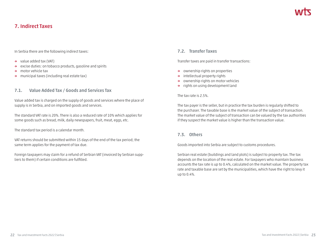# **7. Indirect Taxes**

In Serbia there are the following indirect taxes:

- **→** value added tax (VAT)
- **→** excise duties: on tobacco products, gasoline and spirits
- **→** motor vehicle tax
- **→** municipal taxes (including real estate tax)

# **7.1. Value Added Tax / Goods and Services Tax**

Value added tax is charged on the supply of goods and services where the place of supply is in Serbia, and on imported goods and services.

The standard VAT rate is 20%. There is also a reduced rate of 10% which applies for some goods such as bread, milk, daily newspapers, fruit, meat, eggs, etc.

The standard tax period is a calendar month.

VAT returns should be submitted within 15 days of the end of the tax period; the same term applies for the payment of tax due.

Foreign taxpayers may claim for a refund of Serbian VAT (invoiced by Serbian suppliers to them) if certain conditions are fulfilled.

## **7.2. Transfer Taxes**

Transfer taxes are paid in transfer transactions:

- **→** ownership rights on properties
- **→** intellectual property rights
- **→** ownership rights on motor vehicles
- **→** rights on using development land

#### The tax rate is 2.5%.

The tax payer is the seller, but in practice the tax burden is regularly shifted to the purchaser. The taxable base is the market value of the subject of transaction. The market value of the subject of transaction can be valued by the tax authorities if they suspect the market value is higher than the transaction value.

# **7.3. Others**

Goods imported into Serbia are subject to customs procedures.

Serbian real estate (buildings and land plots) is subject to property tax. The tax depends on the location of the real estate. For taxpayers who maintain business accounts the tax rate is up to 0.4%, calculated on the market value. The property tax rate and taxable base are set by the municipalities, which have the right to levy it up to 0.4%.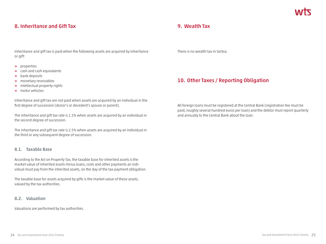# **8. Inheritance and Gift Tax**

Inheritance and gift tax is paid when the following assets are acquired by inheritance or gift:

- **→** properties
- **→** cash and cash equivalents
- **→** bank deposits
- **→** monetary receivables
- **→** intellectual property rights
- **→** motor vehicles

Inheritance and gift tax are not paid when assets are acquired by an individual in the first degree of succession (donor's or decedent's spouse or parent).

The inheritance and gift tax rate is 1.5% when assets are acquired by an individual in the second degree of succession.

The inheritance and gift tax rate is 2.5% when assets are acquired by an individual in the third or any subsequent degree of succession.

## **8.1. Taxable Base**

According to the Act on Property Tax, the taxable base for inherited assets is the market value of inherited assets minus loans, costs and other payments an individual must pay from the inherited assets, on the day of the tax payment obligation.

The taxable base for assets acquired by gifts is the market value of these assets, valued by the tax authorities.

## **8.2. Valuation**

Valuations are performed by tax authorities.

# **9. Wealth Tax**

There is no wealth tax in Serbia.

# **10. Other Taxes / Reporting Obligation**

All foreign loans must be registered at the Central Bank (registration fee must be paid, roughly several hundred euros per loan) and the debtor must report quarterly and annually to the Central Bank about the loan.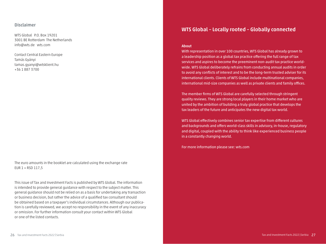#### **Disclaimer**

WTS Global P.O. Box 19201 3001 BE Rotterdam The Netherlands info@wts.de wts.com

Contact Central Eastern Europe Tamás Gyányi tamas.gyanyi@wtsklient.hu +36 1 887 3700

The euro amounts in the booklet are calculated using the exchange rate EUR  $1 =$  RSD 117.5

This issue of Tax and Investment Facts is published by WTS Global. The information is intended to provide general guidance with respect to the subject matter. This general guidance should not be relied on as a basis for undertaking any transaction or business decision, but rather the advice of a qualified tax consultant should be obtained based on a taxpayer's individual circumstances. Although our publication is carefully reviewed, we accept no responsibility in the event of any inaccuracy or omission. For further information consult your contact within WTS Global or one of the listed contacts.

# **WTS Global – Locally rooted – Globally connected**

#### **About**

With representation in over 100 countries, WTS Global has already grown to a leadership position as a global tax practice offering the full range of tax services and aspires to become the preeminent non-audit tax practice worldwide. WTS Global deliberately refrains from conducting annual audits in order to avoid any conflicts of interest and to be the long-term trusted adviser for its international clients. Clients of WTS Global include multinational companies, international mid-size companies as well as private clients and family offices.

The member firms of WTS Global are carefully selected through stringent quality reviews. They are strong local players in their home market who are united by the ambition of building a truly global practice that develops the tax leaders of the future and anticipates the new digital tax world.

WTS Global effectively combines senior tax expertise from different cultures and backgrounds and offers world-class skills in advisory, in-house, regulatory and digital, coupled with the ability to think like experienced business people in a constantly changing world.

For more information please see: wts.com